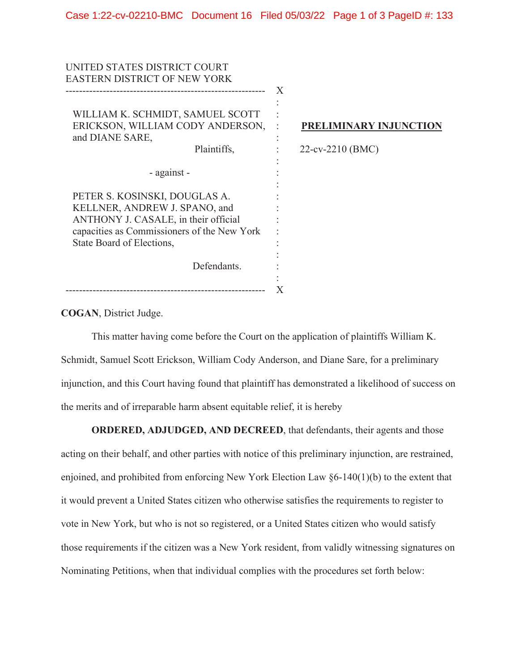| UNITED STATES DISTRICT COURT                |   |                        |
|---------------------------------------------|---|------------------------|
| <b>EASTERN DISTRICT OF NEW YORK</b>         |   |                        |
|                                             | X |                        |
|                                             |   |                        |
| WILLIAM K. SCHMIDT, SAMUEL SCOTT            |   |                        |
| ERICKSON, WILLIAM CODY ANDERSON,            |   | PRELIMINARY INJUNCTION |
| and DIANE SARE,                             |   |                        |
| Plaintiffs,                                 |   | 22-cv-2210 (BMC)       |
|                                             |   |                        |
|                                             |   |                        |
| - against -                                 |   |                        |
|                                             |   |                        |
| PETER S. KOSINSKI, DOUGLAS A.               |   |                        |
| KELLNER, ANDREW J. SPANO, and               |   |                        |
| ANTHONY J. CASALE, in their official        |   |                        |
| capacities as Commissioners of the New York |   |                        |
| State Board of Elections,                   |   |                        |
|                                             |   |                        |
| Defendants.                                 |   |                        |
|                                             |   |                        |
|                                             |   |                        |
|                                             |   |                        |

**COGAN**, District Judge.

This matter having come before the Court on the application of plaintiffs William K. Schmidt, Samuel Scott Erickson, William Cody Anderson, and Diane Sare, for a preliminary injunction, and this Court having found that plaintiff has demonstrated a likelihood of success on the merits and of irreparable harm absent equitable relief, it is hereby

**ORDERED, ADJUDGED, AND DECREED**, that defendants, their agents and those

acting on their behalf, and other parties with notice of this preliminary injunction, are restrained, enjoined, and prohibited from enforcing New York Election Law §6-140(1)(b) to the extent that it would prevent a United States citizen who otherwise satisfies the requirements to register to vote in New York, but who is not so registered, or a United States citizen who would satisfy those requirements if the citizen was a New York resident, from validly witnessing signatures on Nominating Petitions, when that individual complies with the procedures set forth below: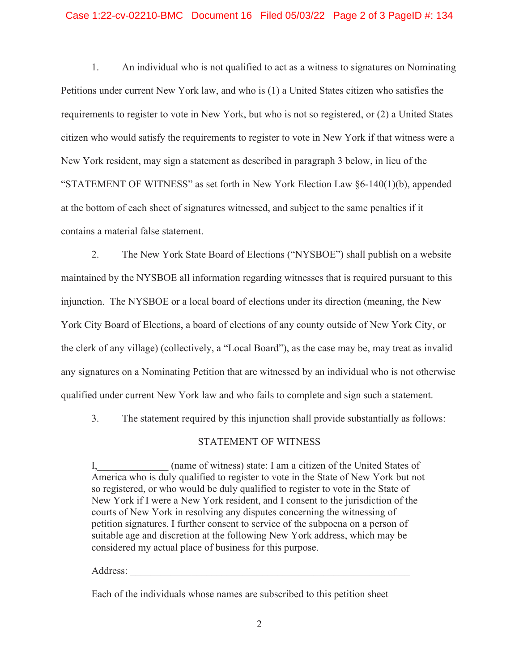## Case 1:22-cv-02210-BMC Document 16 Filed 05/03/22 Page 2 of 3 PageID #: 134

 citizen who would satisfy the requirements to register to vote in New York if that witness were a contains a material false statement. 1. An individual who is not qualified to act as a witness to signatures on Nominating Petitions under current New York law, and who is (1) a United States citizen who satisfies the requirements to register to vote in New York, but who is not so registered, or (2) a United States New York resident, may sign a statement as described in paragraph 3 below, in lieu of the "STATEMENT OF WITNESS" as set forth in New York Election Law §6-140(1)(b), appended at the bottom of each sheet of signatures witnessed, and subject to the same penalties if it

 the clerk of any village) (collectively, a "Local Board"), as the case may be, may treat as invalid 2. The New York State Board of Elections ("NYSBOE") shall publish on a website maintained by the NYSBOE all information regarding witnesses that is required pursuant to this injunction. The NYSBOE or a local board of elections under its direction (meaning, the New York City Board of Elections, a board of elections of any county outside of New York City, or any signatures on a Nominating Petition that are witnessed by an individual who is not otherwise qualified under current New York law and who fails to complete and sign such a statement.

3. The statement required by this injunction shall provide substantially as follows:

## STATEMENT OF WITNESS

I, (name of witness) state: I am a citizen of the United States of America who is duly qualified to register to vote in the State of New York but not so registered, or who would be duly qualified to register to vote in the State of New York if I were a New York resident, and I consent to the jurisdiction of the courts of New York in resolving any disputes concerning the witnessing of petition signatures. I further consent to service of the subpoena on a person of suitable age and discretion at the following New York address, which may be considered my actual place of business for this purpose.

Address:

Each of the individuals whose names are subscribed to this petition sheet